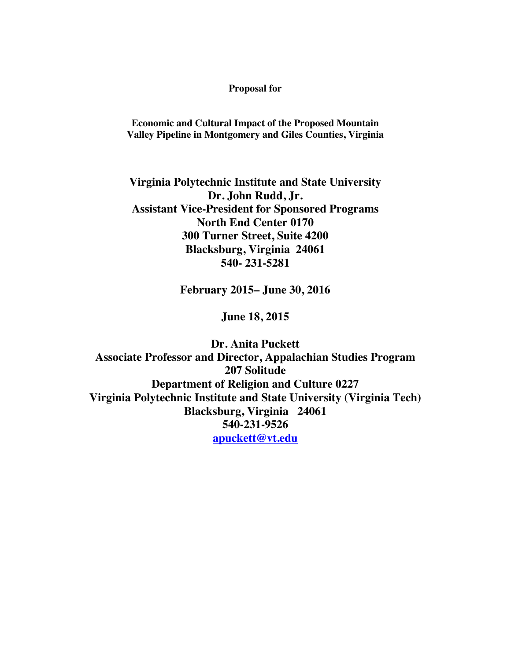#### **Proposal for**

**Economic and Cultural Impact of the Proposed Mountain Valley Pipeline in Montgomery and Giles Counties, Virginia**

**Virginia Polytechnic Institute and State University Dr. John Rudd, Jr. Assistant Vice-President for Sponsored Programs North End Center 0170 300 Turner Street, Suite 4200 Blacksburg, Virginia 24061 540- 231-5281**

**February 2015– June 30, 2016**

**June 18, 2015**

**Dr. Anita Puckett Associate Professor and Director, Appalachian Studies Program 207 Solitude Department of Religion and Culture 0227 Virginia Polytechnic Institute and State University (Virginia Tech) Blacksburg, Virginia 24061 540-231-9526 apuckett@vt.edu**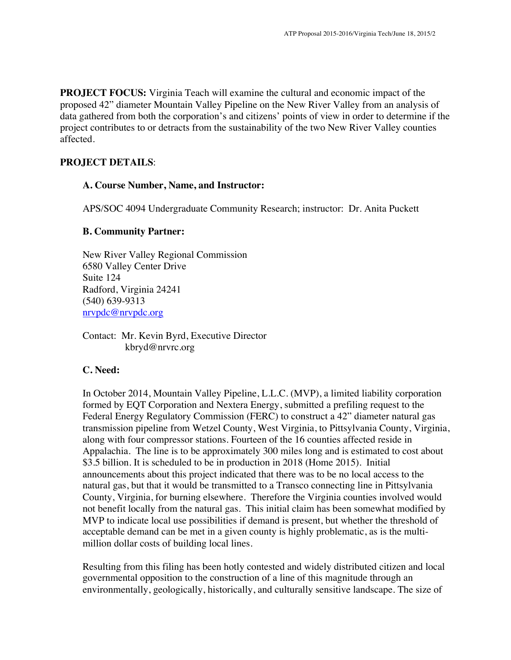**PROJECT FOCUS:** Virginia Teach will examine the cultural and economic impact of the proposed 42" diameter Mountain Valley Pipeline on the New River Valley from an analysis of data gathered from both the corporation's and citizens' points of view in order to determine if the project contributes to or detracts from the sustainability of the two New River Valley counties affected.

### **PROJECT DETAILS**:

#### **A. Course Number, Name, and Instructor:**

APS/SOC 4094 Undergraduate Community Research; instructor: Dr. Anita Puckett

### **B. Community Partner:**

New River Valley Regional Commission 6580 Valley Center Drive Suite 124 Radford, Virginia 24241 (540) 639-9313 nrvpdc@nrvpdc.org

Contact: Mr. Kevin Byrd, Executive Director kbryd@nrvrc.org

### **C. Need:**

In October 2014, Mountain Valley Pipeline, L.L.C. (MVP), a limited liability corporation formed by EQT Corporation and Nextera Energy, submitted a prefiling request to the Federal Energy Regulatory Commission (FERC) to construct a 42" diameter natural gas transmission pipeline from Wetzel County, West Virginia, to Pittsylvania County, Virginia, along with four compressor stations. Fourteen of the 16 counties affected reside in Appalachia. The line is to be approximately 300 miles long and is estimated to cost about \$3.5 billion. It is scheduled to be in production in 2018 (Home 2015). Initial announcements about this project indicated that there was to be no local access to the natural gas, but that it would be transmitted to a Transco connecting line in Pittsylvania County, Virginia, for burning elsewhere. Therefore the Virginia counties involved would not benefit locally from the natural gas. This initial claim has been somewhat modified by MVP to indicate local use possibilities if demand is present, but whether the threshold of acceptable demand can be met in a given county is highly problematic, as is the multimillion dollar costs of building local lines.

Resulting from this filing has been hotly contested and widely distributed citizen and local governmental opposition to the construction of a line of this magnitude through an environmentally, geologically, historically, and culturally sensitive landscape. The size of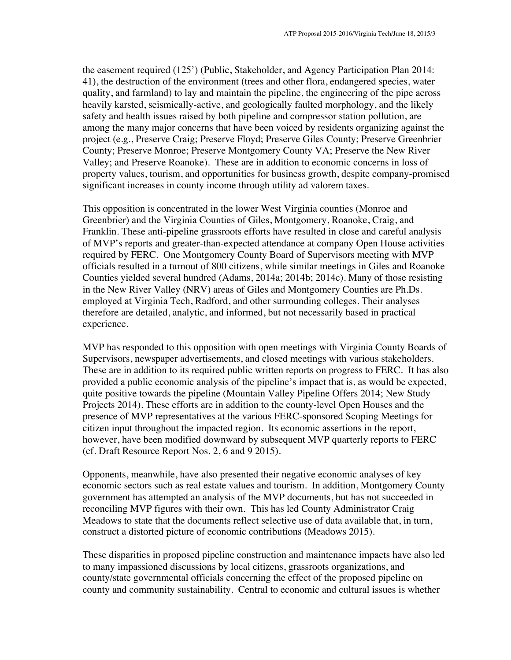the easement required (125') (Public, Stakeholder, and Agency Participation Plan 2014: 41), the destruction of the environment (trees and other flora, endangered species, water quality, and farmland) to lay and maintain the pipeline, the engineering of the pipe across heavily karsted, seismically-active, and geologically faulted morphology, and the likely safety and health issues raised by both pipeline and compressor station pollution, are among the many major concerns that have been voiced by residents organizing against the project (e.g., Preserve Craig; Preserve Floyd; Preserve Giles County; Preserve Greenbrier County; Preserve Monroe; Preserve Montgomery County VA; Preserve the New River Valley; and Preserve Roanoke). These are in addition to economic concerns in loss of property values, tourism, and opportunities for business growth, despite company-promised significant increases in county income through utility ad valorem taxes.

This opposition is concentrated in the lower West Virginia counties (Monroe and Greenbrier) and the Virginia Counties of Giles, Montgomery, Roanoke, Craig, and Franklin. These anti-pipeline grassroots efforts have resulted in close and careful analysis of MVP's reports and greater-than-expected attendance at company Open House activities required by FERC. One Montgomery County Board of Supervisors meeting with MVP officials resulted in a turnout of 800 citizens, while similar meetings in Giles and Roanoke Counties yielded several hundred (Adams, 2014a; 2014b; 2014c). Many of those resisting in the New River Valley (NRV) areas of Giles and Montgomery Counties are Ph.Ds. employed at Virginia Tech, Radford, and other surrounding colleges. Their analyses therefore are detailed, analytic, and informed, but not necessarily based in practical experience.

MVP has responded to this opposition with open meetings with Virginia County Boards of Supervisors, newspaper advertisements, and closed meetings with various stakeholders. These are in addition to its required public written reports on progress to FERC. It has also provided a public economic analysis of the pipeline's impact that is, as would be expected, quite positive towards the pipeline (Mountain Valley Pipeline Offers 2014; New Study Projects 2014). These efforts are in addition to the county-level Open Houses and the presence of MVP representatives at the various FERC-sponsored Scoping Meetings for citizen input throughout the impacted region. Its economic assertions in the report, however, have been modified downward by subsequent MVP quarterly reports to FERC (cf. Draft Resource Report Nos. 2, 6 and 9 2015).

Opponents, meanwhile, have also presented their negative economic analyses of key economic sectors such as real estate values and tourism. In addition, Montgomery County government has attempted an analysis of the MVP documents, but has not succeeded in reconciling MVP figures with their own. This has led County Administrator Craig Meadows to state that the documents reflect selective use of data available that, in turn, construct a distorted picture of economic contributions (Meadows 2015).

These disparities in proposed pipeline construction and maintenance impacts have also led to many impassioned discussions by local citizens, grassroots organizations, and county/state governmental officials concerning the effect of the proposed pipeline on county and community sustainability. Central to economic and cultural issues is whether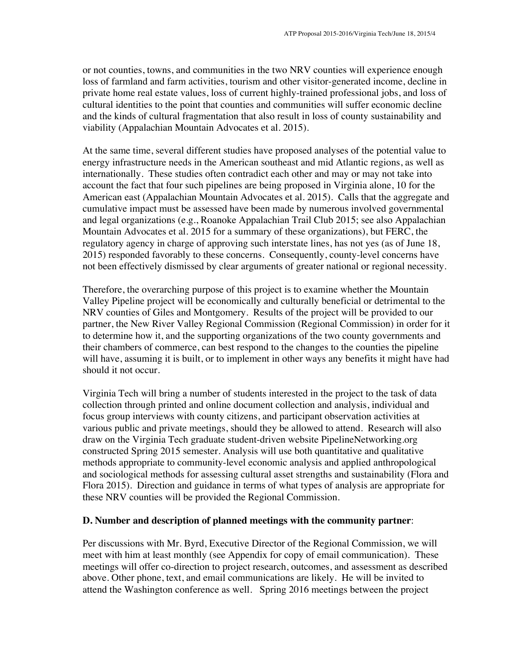or not counties, towns, and communities in the two NRV counties will experience enough loss of farmland and farm activities, tourism and other visitor-generated income, decline in private home real estate values, loss of current highly-trained professional jobs, and loss of cultural identities to the point that counties and communities will suffer economic decline and the kinds of cultural fragmentation that also result in loss of county sustainability and viability (Appalachian Mountain Advocates et al. 2015).

At the same time, several different studies have proposed analyses of the potential value to energy infrastructure needs in the American southeast and mid Atlantic regions, as well as internationally. These studies often contradict each other and may or may not take into account the fact that four such pipelines are being proposed in Virginia alone, 10 for the American east (Appalachian Mountain Advocates et al. 2015). Calls that the aggregate and cumulative impact must be assessed have been made by numerous involved governmental and legal organizations (e.g., Roanoke Appalachian Trail Club 2015; see also Appalachian Mountain Advocates et al. 2015 for a summary of these organizations), but FERC, the regulatory agency in charge of approving such interstate lines, has not yes (as of June 18, 2015) responded favorably to these concerns. Consequently, county-level concerns have not been effectively dismissed by clear arguments of greater national or regional necessity.

Therefore, the overarching purpose of this project is to examine whether the Mountain Valley Pipeline project will be economically and culturally beneficial or detrimental to the NRV counties of Giles and Montgomery. Results of the project will be provided to our partner, the New River Valley Regional Commission (Regional Commission) in order for it to determine how it, and the supporting organizations of the two county governments and their chambers of commerce, can best respond to the changes to the counties the pipeline will have, assuming it is built, or to implement in other ways any benefits it might have had should it not occur.

Virginia Tech will bring a number of students interested in the project to the task of data collection through printed and online document collection and analysis, individual and focus group interviews with county citizens, and participant observation activities at various public and private meetings, should they be allowed to attend. Research will also draw on the Virginia Tech graduate student-driven website PipelineNetworking.org constructed Spring 2015 semester. Analysis will use both quantitative and qualitative methods appropriate to community-level economic analysis and applied anthropological and sociological methods for assessing cultural asset strengths and sustainability (Flora and Flora 2015). Direction and guidance in terms of what types of analysis are appropriate for these NRV counties will be provided the Regional Commission.

### **D. Number and description of planned meetings with the community partner**:

Per discussions with Mr. Byrd, Executive Director of the Regional Commission, we will meet with him at least monthly (see Appendix for copy of email communication). These meetings will offer co-direction to project research, outcomes, and assessment as described above. Other phone, text, and email communications are likely. He will be invited to attend the Washington conference as well. Spring 2016 meetings between the project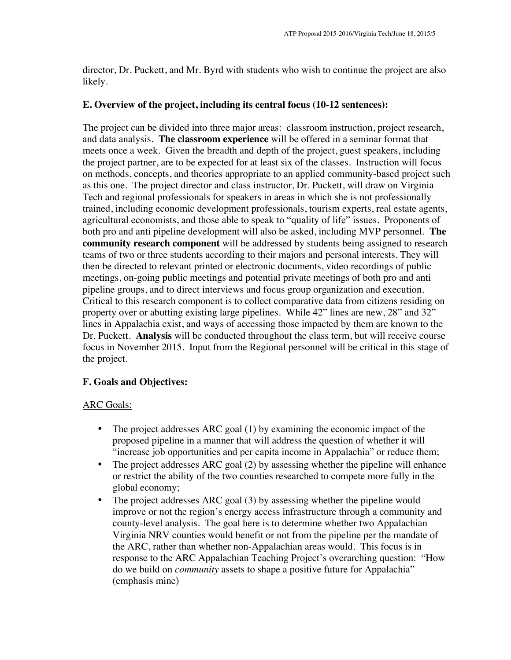director, Dr. Puckett, and Mr. Byrd with students who wish to continue the project are also likely.

### **E. Overview of the project, including its central focus (10-12 sentences):**

The project can be divided into three major areas: classroom instruction, project research, and data analysis. **The classroom experience** will be offered in a seminar format that meets once a week. Given the breadth and depth of the project, guest speakers, including the project partner, are to be expected for at least six of the classes. Instruction will focus on methods, concepts, and theories appropriate to an applied community-based project such as this one. The project director and class instructor, Dr. Puckett, will draw on Virginia Tech and regional professionals for speakers in areas in which she is not professionally trained, including economic development professionals, tourism experts, real estate agents, agricultural economists, and those able to speak to "quality of life" issues. Proponents of both pro and anti pipeline development will also be asked, including MVP personnel. **The community research component** will be addressed by students being assigned to research teams of two or three students according to their majors and personal interests. They will then be directed to relevant printed or electronic documents, video recordings of public meetings, on-going public meetings and potential private meetings of both pro and anti pipeline groups, and to direct interviews and focus group organization and execution. Critical to this research component is to collect comparative data from citizens residing on property over or abutting existing large pipelines. While 42" lines are new, 28" and 32" lines in Appalachia exist, and ways of accessing those impacted by them are known to the Dr. Puckett. **Analysis** will be conducted throughout the class term, but will receive course focus in November 2015. Input from the Regional personnel will be critical in this stage of the project.

## **F. Goals and Objectives:**

## ARC Goals:

- The project addresses ARC goal (1) by examining the economic impact of the proposed pipeline in a manner that will address the question of whether it will "increase job opportunities and per capita income in Appalachia" or reduce them;
- The project addresses ARC goal (2) by assessing whether the pipeline will enhance or restrict the ability of the two counties researched to compete more fully in the global economy;
- The project addresses ARC goal (3) by assessing whether the pipeline would improve or not the region's energy access infrastructure through a community and county-level analysis. The goal here is to determine whether two Appalachian Virginia NRV counties would benefit or not from the pipeline per the mandate of the ARC, rather than whether non-Appalachian areas would. This focus is in response to the ARC Appalachian Teaching Project's overarching question: "How do we build on *community* assets to shape a positive future for Appalachia" (emphasis mine)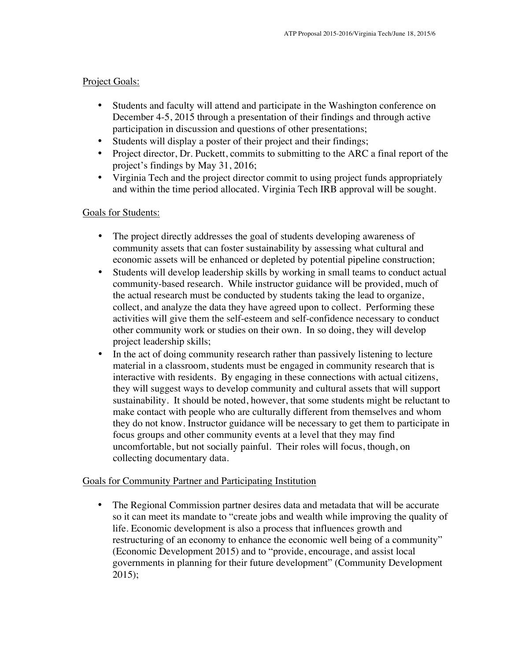### Project Goals:

- Students and faculty will attend and participate in the Washington conference on December 4-5, 2015 through a presentation of their findings and through active participation in discussion and questions of other presentations;
- Students will display a poster of their project and their findings;
- Project director, Dr. Puckett, commits to submitting to the ARC a final report of the project's findings by May 31, 2016;
- Virginia Tech and the project director commit to using project funds appropriately and within the time period allocated. Virginia Tech IRB approval will be sought.

### Goals for Students:

- The project directly addresses the goal of students developing awareness of community assets that can foster sustainability by assessing what cultural and economic assets will be enhanced or depleted by potential pipeline construction;
- Students will develop leadership skills by working in small teams to conduct actual community-based research. While instructor guidance will be provided, much of the actual research must be conducted by students taking the lead to organize, collect, and analyze the data they have agreed upon to collect. Performing these activities will give them the self-esteem and self-confidence necessary to conduct other community work or studies on their own. In so doing, they will develop project leadership skills;
- In the act of doing community research rather than passively listening to lecture material in a classroom, students must be engaged in community research that is interactive with residents. By engaging in these connections with actual citizens, they will suggest ways to develop community and cultural assets that will support sustainability. It should be noted, however, that some students might be reluctant to make contact with people who are culturally different from themselves and whom they do not know. Instructor guidance will be necessary to get them to participate in focus groups and other community events at a level that they may find uncomfortable, but not socially painful. Their roles will focus, though, on collecting documentary data.

## Goals for Community Partner and Participating Institution

• The Regional Commission partner desires data and metadata that will be accurate so it can meet its mandate to "create jobs and wealth while improving the quality of life. Economic development is also a process that influences growth and restructuring of an economy to enhance the economic well being of a community" (Economic Development 2015) and to "provide, encourage, and assist local governments in planning for their future development" (Community Development 2015);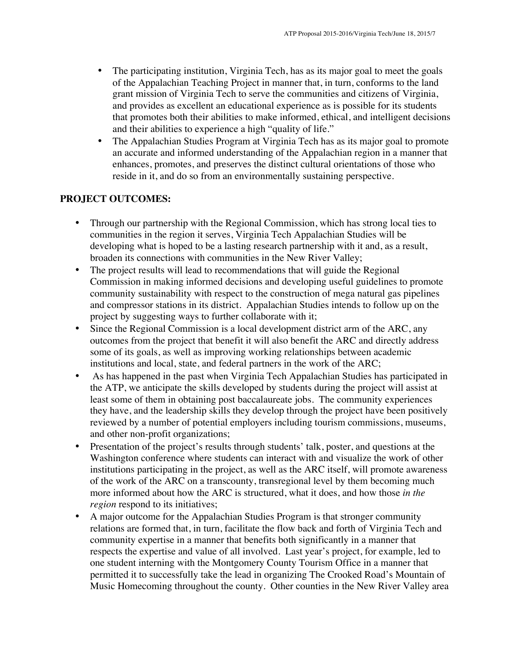- The participating institution, Virginia Tech, has as its major goal to meet the goals of the Appalachian Teaching Project in manner that, in turn, conforms to the land grant mission of Virginia Tech to serve the communities and citizens of Virginia, and provides as excellent an educational experience as is possible for its students that promotes both their abilities to make informed, ethical, and intelligent decisions and their abilities to experience a high "quality of life."
- The Appalachian Studies Program at Virginia Tech has as its major goal to promote an accurate and informed understanding of the Appalachian region in a manner that enhances, promotes, and preserves the distinct cultural orientations of those who reside in it, and do so from an environmentally sustaining perspective.

# **PROJECT OUTCOMES:**

- Through our partnership with the Regional Commission, which has strong local ties to communities in the region it serves, Virginia Tech Appalachian Studies will be developing what is hoped to be a lasting research partnership with it and, as a result, broaden its connections with communities in the New River Valley;
- The project results will lead to recommendations that will guide the Regional Commission in making informed decisions and developing useful guidelines to promote community sustainability with respect to the construction of mega natural gas pipelines and compressor stations in its district. Appalachian Studies intends to follow up on the project by suggesting ways to further collaborate with it;
- Since the Regional Commission is a local development district arm of the ARC, any outcomes from the project that benefit it will also benefit the ARC and directly address some of its goals, as well as improving working relationships between academic institutions and local, state, and federal partners in the work of the ARC;
- As has happened in the past when Virginia Tech Appalachian Studies has participated in the ATP, we anticipate the skills developed by students during the project will assist at least some of them in obtaining post baccalaureate jobs. The community experiences they have, and the leadership skills they develop through the project have been positively reviewed by a number of potential employers including tourism commissions, museums, and other non-profit organizations;
- Presentation of the project's results through students' talk, poster, and questions at the Washington conference where students can interact with and visualize the work of other institutions participating in the project, as well as the ARC itself, will promote awareness of the work of the ARC on a transcounty, transregional level by them becoming much more informed about how the ARC is structured, what it does, and how those *in the region* respond to its initiatives;
- A major outcome for the Appalachian Studies Program is that stronger community relations are formed that, in turn, facilitate the flow back and forth of Virginia Tech and community expertise in a manner that benefits both significantly in a manner that respects the expertise and value of all involved. Last year's project, for example, led to one student interning with the Montgomery County Tourism Office in a manner that permitted it to successfully take the lead in organizing The Crooked Road's Mountain of Music Homecoming throughout the county. Other counties in the New River Valley area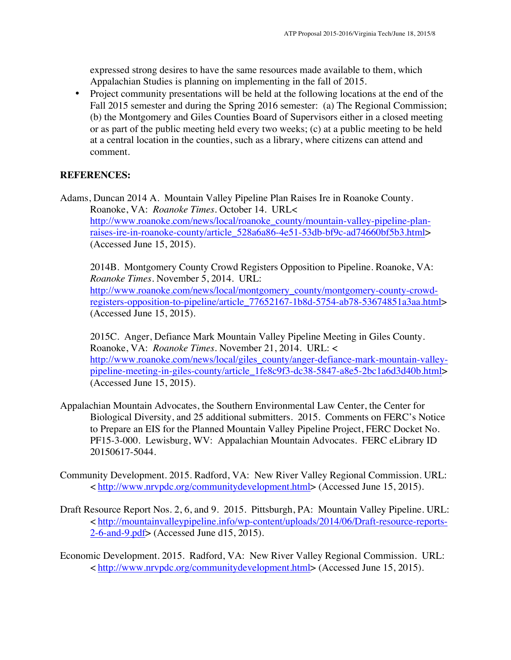expressed strong desires to have the same resources made available to them, which Appalachian Studies is planning on implementing in the fall of 2015.

• Project community presentations will be held at the following locations at the end of the Fall 2015 semester and during the Spring 2016 semester: (a) The Regional Commission; (b) the Montgomery and Giles Counties Board of Supervisors either in a closed meeting or as part of the public meeting held every two weeks; (c) at a public meeting to be held at a central location in the counties, such as a library, where citizens can attend and comment.

### **REFERENCES:**

Adams, Duncan 2014 A. Mountain Valley Pipeline Plan Raises Ire in Roanoke County. Roanoke, VA: *Roanoke Times*. October 14. URL< http://www.roanoke.com/news/local/roanoke\_county/mountain-valley-pipeline-planraises-ire-in-roanoke-county/article\_528a6a86-4e51-53db-bf9c-ad74660bf5b3.html> (Accessed June 15, 2015).

2014B. Montgomery County Crowd Registers Opposition to Pipeline. Roanoke, VA: *Roanoke Times*. November 5, 2014. URL: http://www.roanoke.com/news/local/montgomery\_county/montgomery-county-crowdregisters-opposition-to-pipeline/article\_77652167-1b8d-5754-ab78-53674851a3aa.html> (Accessed June 15, 2015).

2015C. Anger, Defiance Mark Mountain Valley Pipeline Meeting in Giles County. Roanoke, VA: *Roanoke Times.* November 21, 2014. URL: < http://www.roanoke.com/news/local/giles\_county/anger-defiance-mark-mountain-valleypipeline-meeting-in-giles-county/article\_1fe8c9f3-dc38-5847-a8e5-2bc1a6d3d40b.html> (Accessed June 15, 2015).

- Appalachian Mountain Advocates, the Southern Environmental Law Center, the Center for Biological Diversity, and 25 additional submitters. 2015. Comments on FERC's Notice to Prepare an EIS for the Planned Mountain Valley Pipeline Project, FERC Docket No. PF15-3-000. Lewisburg, WV: Appalachian Mountain Advocates. FERC eLibrary ID 20150617-5044.
- Community Development. 2015. Radford, VA: New River Valley Regional Commission. URL: < http://www.nrvpdc.org/communitydevelopment.html> (Accessed June 15, 2015).
- Draft Resource Report Nos. 2, 6, and 9. 2015. Pittsburgh, PA: Mountain Valley Pipeline. URL: < http://mountainvalleypipeline.info/wp-content/uploads/2014/06/Draft-resource-reports- $2-6$ -and-9.pdf> (Accessed June d15, 2015).
- Economic Development. 2015. Radford, VA: New River Valley Regional Commission. URL: < http://www.nrvpdc.org/communitydevelopment.html> (Accessed June 15, 2015).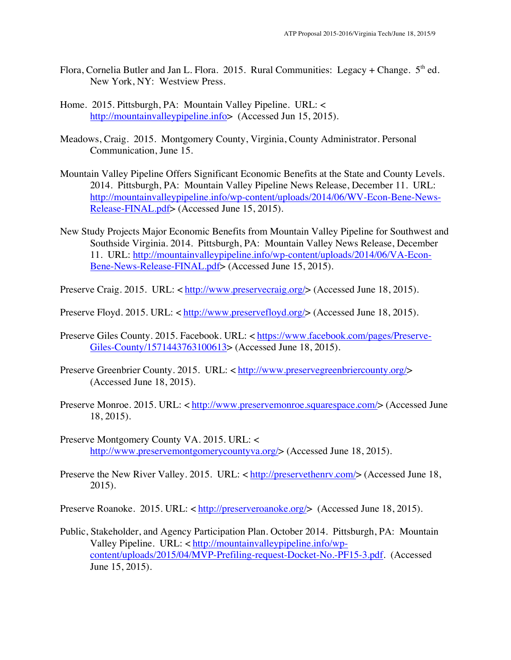- Flora, Cornelia Butler and Jan L. Flora. 2015. Rural Communities: Legacy + Change.  $5<sup>th</sup>$  ed. New York, NY: Westview Press.
- Home. 2015. Pittsburgh, PA: Mountain Valley Pipeline. URL: < http://mountainvalleypipeline.info> (Accessed Jun 15, 2015).
- Meadows, Craig. 2015. Montgomery County, Virginia, County Administrator. Personal Communication, June 15.
- Mountain Valley Pipeline Offers Significant Economic Benefits at the State and County Levels. 2014. Pittsburgh, PA: Mountain Valley Pipeline News Release, December 11. URL: http://mountainvalleypipeline.info/wp-content/uploads/2014/06/WV-Econ-Bene-News-Release-FINAL.pdf> (Accessed June 15, 2015).
- New Study Projects Major Economic Benefits from Mountain Valley Pipeline for Southwest and Southside Virginia. 2014. Pittsburgh, PA: Mountain Valley News Release, December 11. URL: http://mountainvalleypipeline.info/wp-content/uploads/2014/06/VA-Econ-Bene-News-Release-FINAL.pdf> (Accessed June 15, 2015).
- Preserve Craig. 2015. URL: < http://www.preservecraig.org/> (Accessed June 18, 2015).
- Preserve Floyd. 2015. URL: < http://www.preservefloyd.org/> (Accessed June 18, 2015).
- Preserve Giles County. 2015. Facebook. URL: < https://www.facebook.com/pages/Preserve-Giles-County/1571443763100613> (Accessed June 18, 2015).
- Preserve Greenbrier County. 2015. URL: < http://www.preservegreenbriercounty.org/> (Accessed June 18, 2015).
- Preserve Monroe. 2015. URL: < http://www.preservemonroe.squarespace.com/> (Accessed June 18, 2015).
- Preserve Montgomery County VA. 2015. URL: < http://www.preservemontgomerycountyva.org/> (Accessed June 18, 2015).
- Preserve the New River Valley. 2015. URL: < http://preservethenry.com/> (Accessed June 18, 2015).

Preserve Roanoke. 2015. URL: < http://preserveroanoke.org/> (Accessed June 18, 2015).

Public, Stakeholder, and Agency Participation Plan. October 2014. Pittsburgh, PA: Mountain Valley Pipeline. URL: < http://mountainvalleypipeline.info/wpcontent/uploads/2015/04/MVP-Prefiling-request-Docket-No.-PF15-3.pdf. (Accessed June 15, 2015).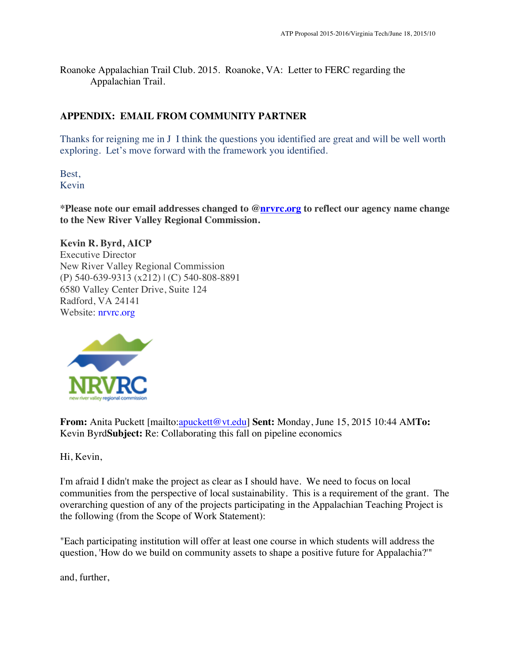Roanoke Appalachian Trail Club. 2015. Roanoke, VA: Letter to FERC regarding the Appalachian Trail.

# **APPENDIX: EMAIL FROM COMMUNITY PARTNER**

Thanks for reigning me in J I think the questions you identified are great and will be well worth exploring. Let's move forward with the framework you identified.

Best, Kevin

**\*Please note our email addresses changed to @nrvrc.org to reflect our agency name change to the New River Valley Regional Commission.**

**Kevin R. Byrd, AICP** Executive Director New River Valley Regional Commission (P) 540-639-9313 (x212) | (C) 540-808-8891 6580 Valley Center Drive, Suite 124 Radford, VA 24141 Website: nrvrc.org



**From:** Anita Puckett [mailto:apuckett@vt.edu] **Sent:** Monday, June 15, 2015 10:44 AM**To:** Kevin Byrd**Subject:** Re: Collaborating this fall on pipeline economics

Hi, Kevin,

I'm afraid I didn't make the project as clear as I should have. We need to focus on local communities from the perspective of local sustainability. This is a requirement of the grant. The overarching question of any of the projects participating in the Appalachian Teaching Project is the following (from the Scope of Work Statement):

"Each participating institution will offer at least one course in which students will address the question, 'How do we build on community assets to shape a positive future for Appalachia?'"

and, further,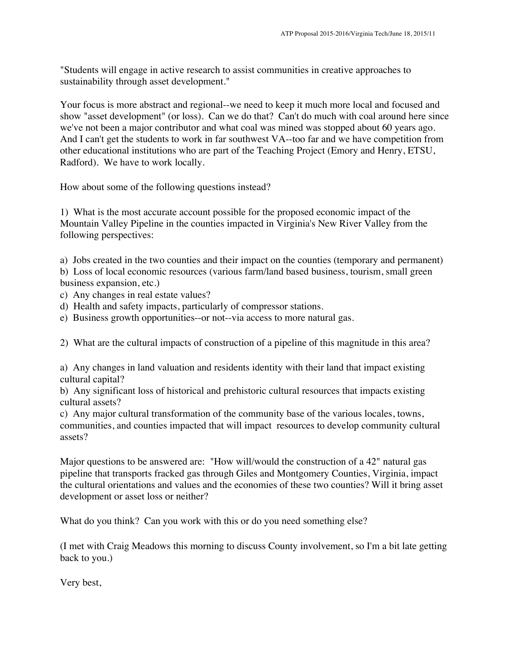"Students will engage in active research to assist communities in creative approaches to sustainability through asset development."

Your focus is more abstract and regional--we need to keep it much more local and focused and show "asset development" (or loss). Can we do that? Can't do much with coal around here since we've not been a major contributor and what coal was mined was stopped about 60 years ago. And I can't get the students to work in far southwest VA--too far and we have competition from other educational institutions who are part of the Teaching Project (Emory and Henry, ETSU, Radford). We have to work locally.

How about some of the following questions instead?

1) What is the most accurate account possible for the proposed economic impact of the Mountain Valley Pipeline in the counties impacted in Virginia's New River Valley from the following perspectives:

a) Jobs created in the two counties and their impact on the counties (temporary and permanent) b) Loss of local economic resources (various farm/land based business, tourism, small green business expansion, etc.)

- c) Any changes in real estate values?
- d) Health and safety impacts, particularly of compressor stations.
- e) Business growth opportunities--or not--via access to more natural gas.

2) What are the cultural impacts of construction of a pipeline of this magnitude in this area?

a) Any changes in land valuation and residents identity with their land that impact existing cultural capital?

b) Any significant loss of historical and prehistoric cultural resources that impacts existing cultural assets?

c) Any major cultural transformation of the community base of the various locales, towns, communities, and counties impacted that will impact resources to develop community cultural assets?

Major questions to be answered are: "How will/would the construction of a 42" natural gas pipeline that transports fracked gas through Giles and Montgomery Counties, Virginia, impact the cultural orientations and values and the economies of these two counties? Will it bring asset development or asset loss or neither?

What do you think? Can you work with this or do you need something else?

(I met with Craig Meadows this morning to discuss County involvement, so I'm a bit late getting back to you.)

Very best,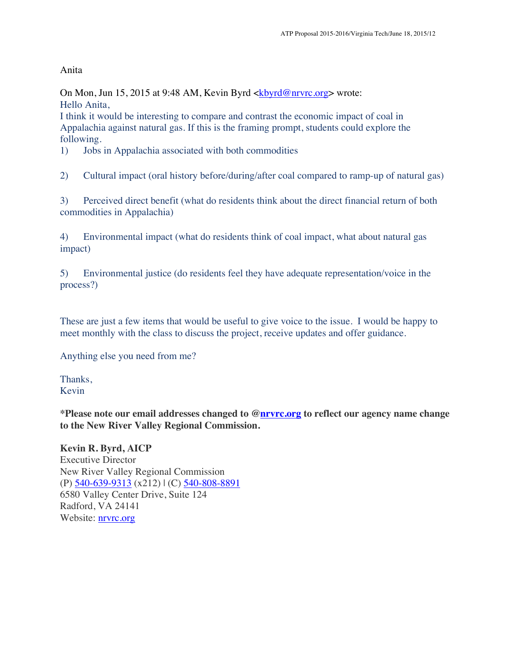Anita

On Mon, Jun 15, 2015 at 9:48 AM, Kevin Byrd  $\langle \frac{kbyrd@nrvrc.org}{\rangle}$  wrote: Hello Anita,

I think it would be interesting to compare and contrast the economic impact of coal in Appalachia against natural gas. If this is the framing prompt, students could explore the following.

1) Jobs in Appalachia associated with both commodities

2) Cultural impact (oral history before/during/after coal compared to ramp-up of natural gas)

3) Perceived direct benefit (what do residents think about the direct financial return of both commodities in Appalachia)

4) Environmental impact (what do residents think of coal impact, what about natural gas impact)

5) Environmental justice (do residents feel they have adequate representation/voice in the process?)

These are just a few items that would be useful to give voice to the issue. I would be happy to meet monthly with the class to discuss the project, receive updates and offer guidance.

Anything else you need from me?

Thanks, Kevin

**\*Please note our email addresses changed to @nrvrc.org to reflect our agency name change to the New River Valley Regional Commission.**

**Kevin R. Byrd, AICP** Executive Director New River Valley Regional Commission (P) 540-639-9313 (x212) | (C) 540-808-8891 6580 Valley Center Drive, Suite 124 Radford, VA 24141 Website: **nrvrc.org**